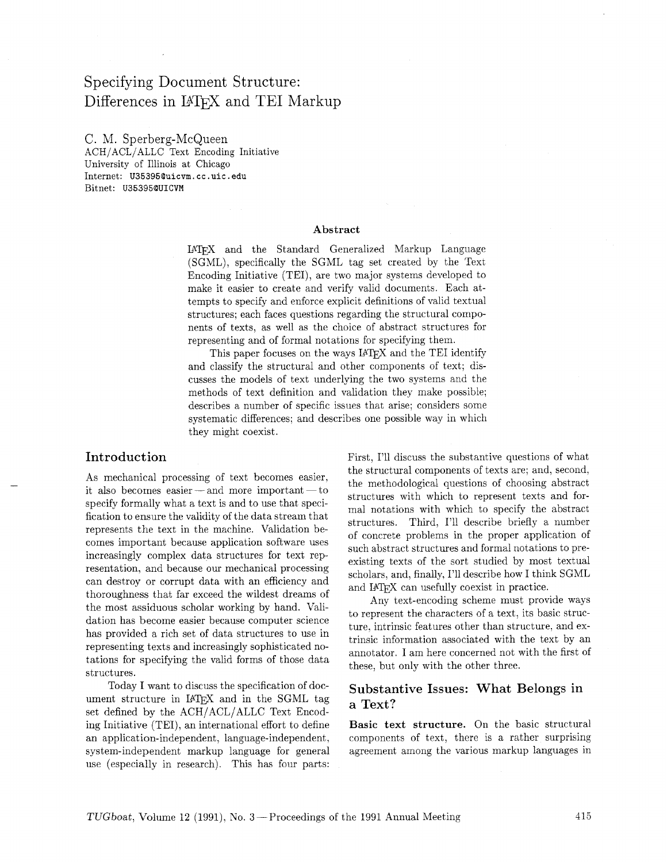# Specifying Document Structure: Differences in IATFX and TEI Markup

C. M. Sperberg-McQueen ACH/ACL/ALLC Text Encoding Initiative University of Illinois at Chicago Internet: **U35395@uicvm.** cc **.uic. edu**  Bitnet: **U35395QUICVM** 

#### Abstract

IATFX and the Standard Generalized Markup Language (SGML), specifically the SGML tag set created by the Text Encoding Initiative (TEI), are two major systems developed to make it easier to create and verify valid documents. Each attempts to specify and enforce explicit definitions of valid textual structures; each faces questions regarding the structural components of texts, as well as the choice of abstract structures for representing and of formal notations for specifying them.

This paper focuses on the ways IAT<sub>F</sub>X and the TEI identify and classify the structural and other components of text; discusses the models of text underlying the two systems and the methods of text definition and validation they make possible; describes a number of specific issues that arise; considers some systematic differences; and describes one possible way in which they might coexist.

As mechanical processing of text becomes easier, it also becomes easier  $-$  and more important  $-$  to specify formally what a text is and to use that specification to ensure the validity of the data stream that represents the text in the machine. Validation becomes important because application software uses increasingly complex data structures for text representation, and because our mechanical processing can destroy or corrupt data with an efficiency and thoroughness that far exceed the wildest dreams of the most assiduous scholar working by hand. Validation has become easier because computer science has provided a rich set of data structures to use in representing texts and increasingly sophisticated notations for specifying the valid forms of those data structures.

Today I want to discuss the specification of document structure in IATEX and in the SGML tag set defined by the ACH/ACL/ALLC Text Encoding Initiative (TEI), an international effort to define an application-independent, language-independent, system-independent markup language for general use (especially in research). This has four parts:

Introduction First, I'll discuss the substantive questions of what  $\Gamma$ the structural components of texts are; and, second, the methodological questions of choosing abstract structures with which to represent texts and formal notations with which to specify the abstract structures. Third, I'll describe briefly a number of concrete problems in the proper application of such abstract structures and formal notations to preexisting texts of the sort studied by most textual scholars, and, finally, I'll describe how I think SGML and IATFX can usefully coexist in practice.

> Any text-encoding scheme must provide ways to represent the characters of a text, its basic structure, intrinsic features other than structure, and extrinsic information associated with the text by an annotator. I am here concerned not with the first of these, but only with the other three.

## Substantive Issues: What Belongs in a Text?

Basic text structure. On the basic structural components of text, there is a rather surprising agreement among the various markup languages in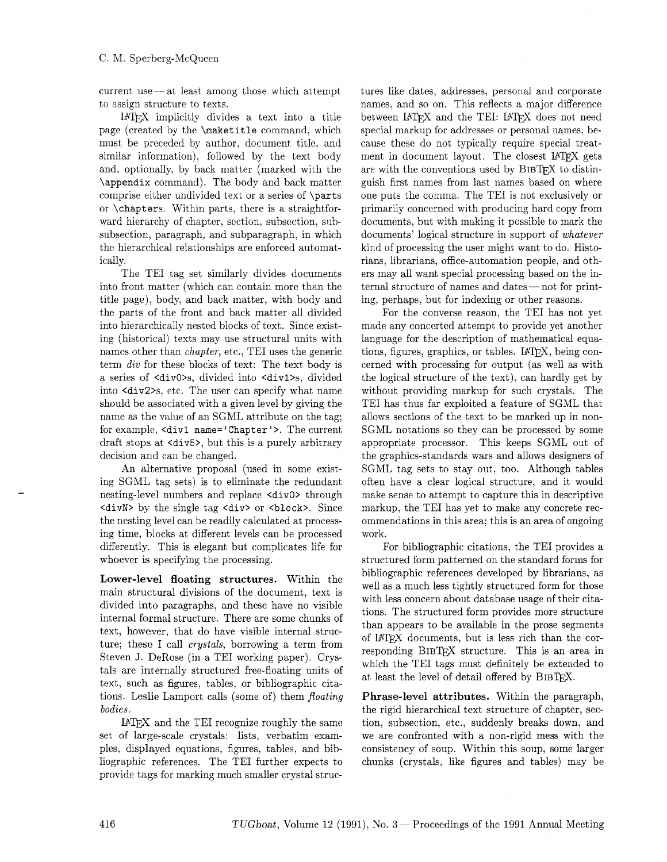C. M. Sperberg-McQueen<br>current use — at least among those which attempt to assign structure to texts.

IAT<sub>F</sub>X implicitly divides a text into a title page (created by the \maketitle command, which must be preceded by author, document title, and similar information), followed by the text body and, optionally, by back matter (marked with the \appendix command). The body and back matter comprise either undivided text or a series of \parts or \chapters. Within parts, there is a straightforward hierarchy of chapter, section, subsection, subsubsection, paragraph, and subparagraph. in which the hierarchical relationships are enforced automatically.

The TEI tag set similarly divides documents into front matter (which can contain more than the title page), body, and back matter, with body and the parts of the front and back matter all divided into hierarchically nested blocks of text. Since existing (historical) texts may use structural units with names other than chapter, etc., TEI uses the generic term div for these blocks of text: The text body is a series of <divO>s, divided into <divl>s, divided into <div2>s, etc. The user can specify what name should be associated with a given level by giving the name as the value of an SGML attribute on the tag; for example, <divl name= ' Chapter' >. The current draft stops at <div5>, but this is a purely arbitrary decision and can be changed.

An alternative proposal (used in some existing SGML tag sets) is to eliminate the redundant nesting-level numbers and replace <divO> through <divN> by the single tag <div> or <block>. Since the nesting level can be readily calculated at processing time, blocks at different levels can be processed differently. This is elegant but complicates life for whoever is specifying the processing.

Lower-level floating structures. Within the main structural divisions of the document, text is divided into paragraphs, and these have no visible internal formal structure. There are some chunks of text, however, that do have visible internal structure; these I call *crystals*, borrowing a term from Steven J. DeRose (in a TEI working paper). Crystals are internally structured free-floating units of text, such as figures, tables, or bibliographic citations. Leslie Lamport calls (some of) them floating bodies.

IATEX and the TEI recognize roughly the same set of large-scale crystals: lists, verbatim examples, displayed equations, figures, tables, and bibliographic references. The TEI further expects to provide tags for marking much smaller crystal structures like dates, addresses. personal and corporate names, and so on. This reflects a major difference between IATFX and the TEI: IATFX does not need special markup for addresses or personal names, because these do not typically require special treatment in document layout. The closest IATEX gets are with the conventions used by BIBTFX to distinguish first names from last names based on where one puts the comma. The TEI is not exclusively or primarily concerned with producing hard copy from documents, but with making it possible to mark the documents' logical structure in support of whatever kind of processing the user might want to do. Historians. librarians, office-automation people, and others may all want special processing based on the internal structure of names and dates-not for printing, perhaps. but for indexing or other reasons.

For the converse reason, the TEI has not yet made any concerted attempt to provide yet another language for the description of mathematical equations, figures, graphics, or tables. LAT<sub>F</sub>X, being concerned with processing for output (as well as with the logical structure of the text), can hardly get by without providing markup for such crystals. The TEI has thus far exploited a feature of SGML that allows sections of the text to be marked up in non-SGML notations so they can be processed by some appropriate processor. This keeps SGML out of the graphics-standards wars and allows designers of SGML tag sets to stay out, too. Although tables often have a clear logical structure, and it would make sense to attempt to capture this in descriptive markup, the TEI has yet to make any concrete recommendations in this area; this is an area of ongoing work.

For bibliographic citations, the TEI provides a structured form patterned on the standard forms for bibliographic references developed by librarians, as well as a much less tightly structured form for those with less concern about database usage of their citations. The structured form provides more structure than appears to be available in the prose segments of IAT<sub>R</sub>X documents, but is less rich than the corresponding BIBTEX structure. This is an area in which the TEI tags must definitely be extended to at least the level of detail offered by BIBTEX.

Phrase-level attributes. Within the paragraph, the rigid hierarchical text structure of chapter, section, subsection, etc., suddenly breaks down, and we are confronted with a non-rigid mess with the consistency of soup. Within this soup, some larger chunks (crystals, like figures and tables) may be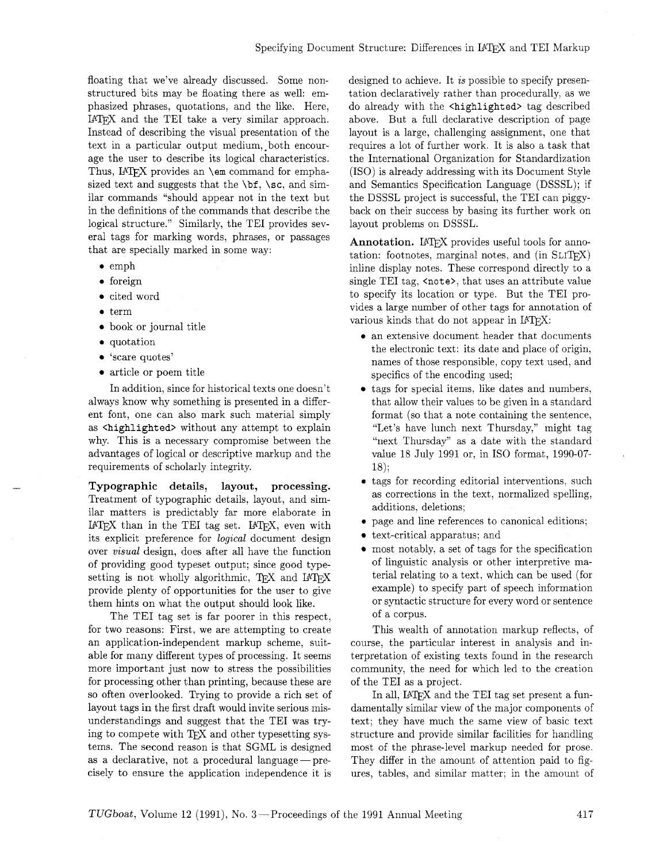floating that we've already discussed. Some nonstructured bits may be floating there as well: emphasized phrases, quotations, and the like. Here, IATEX and the TEI take a very similar approach. Instead of describing the visual presentation of the text in a particular output medium, both encourage the user to describe its logical characteristics. Thus, IATFX provides an \em command for emphasized text and suggests that the **\bf, \sc.** and similar commands "should appear not in the text but in the definitions of the commands that describe the logical structure." Similarly, the TEI provides several tags for marking words, phrases, or passages that are specially marked in some way:

- **<sup>0</sup>**emph
- **<sup>0</sup>**foreign
- cited word
- **<sup>0</sup>**term
- book or journal title
- $\bullet$  quotation
- 'scare quotes'
- article or poem title

In addition, since for historical texts one doesn't always know why something is presented in a different font, one can also mark such material simply as <highlighted> without any attempt to explain why. This is a necessary compromise between the advantages of logical or descriptive markup and the requirements of scholarly integrity.

**Typographic details, layout, processing.**  Treatment of typographic details, layout, and similar matters is predictably far more elaborate in IATEX than in the TEI tag set. IATEX, even with its explicit preference for *logical* document design over visual design, does after all have the function of providing good typeset output; since good typesetting is not wholly algorithmic,  $TFX$  and  $IATFX$ provide plenty of opportunities for the user to give them hints on what the output should look like.

The TEI tag set is far poorer in this respect, for two reasons: First, we are attempting to create an application-independent markup scheme, suitable for many different types of processing. It seems more important just now to stress the possibilities for processing other than printing, because these are so often overlooked. Trying to provide a rich set of layout tags in the first draft would invite serious misunderstandings and suggest that the TEI was trying to compete with  $T_{F}X$  and other typesetting systems. The second reason is that SGML is designed as a declarative, not a procedural language  $-$  precisely to ensure the application independence it is

designed to achieve. It is possible to specify presentation declaratively rather than procedurally, as we do already with the <highlighted> tag described above. But a full declarative description of page layout is a large, challenging assignment, one that requires a lot of further work. It is also a task that the International Organization for Standardization (ISO) is already addressing with its Document Style and Semantics Specification Language (DSSSL); if the DSSSL project is successful, the TEI can piggyback on their success by basing its further work on layout problems on DSSSL.

**Annotation.** IATFX provides useful tools for annotation: footnotes, marginal notes, and  $(in SLITFX)$ inline display notes. These correspond directly to a single TEI tag, <note>, that uses an attribute value to specify its location or type. But the TEI provides a large number of other tags for annotation of various kinds that do not appear in IATFX:

- **e** an extensive document header that documents the electronic text: its date and place of origin, names of those responsible, copy text used, and specifics of the encoding used;
- tags for special items, like dates and numbers, that allow their values to be given in a standard format (so that a note containing the sentence, "Let's have lunch next Thursday," might tag "next Thursday" as a date with the standard value 18 July 1991 or, in IS0 format, 1990-07- 18);
- tags for recording editorial interventions, such as corrections in the text, normalized spelling, additions, deletions;
- page and line references to canonical editions;
- text-critical apparatus; and
- most notably, a set of tags for the specification  $\bullet$ of linguistic analysis or other interpretive material relating to a text, which can be used (for example) to specify part of speech information or syntactic structure for every word or sentence of a corpus.

This wealth of annotation markup reflects, of course, the particular interest in analysis and interpretation of existing texts found in the research community, the need for which led to the creation of the TEI as a project.

In all,  $\text{LATEX}$  and the TEI tag set present a fundamentally similar view of the major components of text; they have much the same view of basic text structure and provide similar facilities for handling most of the phrase-level markup needed for prose. They differ in the amount of attention paid to figures, tables, and similar matter; in the amount of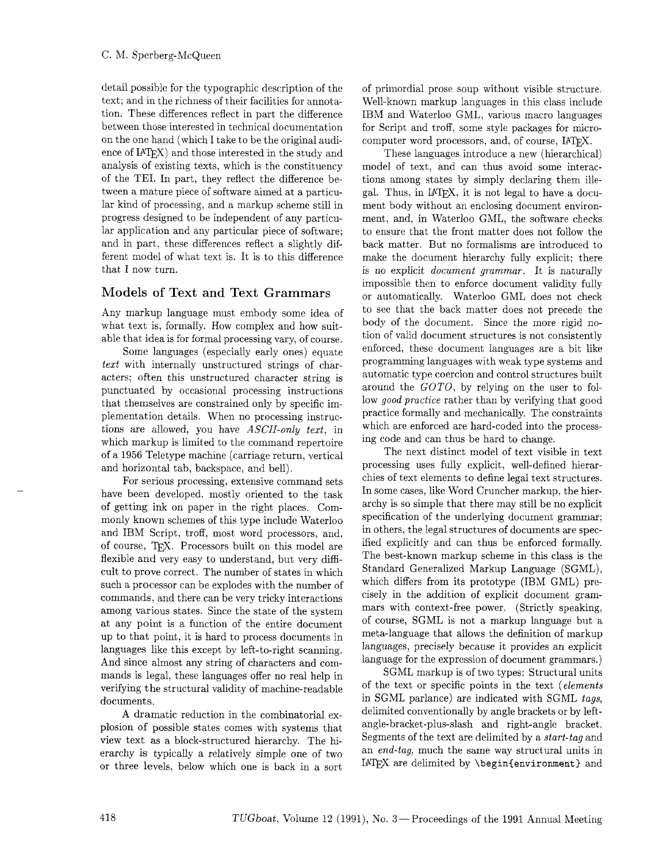detail possible for the typographic description of the text; and in the richness of their facilities for annotation. These differences reflect in part the difference between those interested in technical documentation on the one hand (which I take to be the original audience of IAT<sub>F</sub>X) and those interested in the study and analysis of existing texts, which is the constituency of the TEI. In part, they reflect the difference between a mature piece of software aimed at a particular kind of processing, and a markup scheme still in progress designed to be independent of any particular application and any particular piece of software; and in part, these differences reflect a slightly different model of what text is. It is to this difference that I now turn.

#### Models of Text and Text Grammars

Any markup language must embody some idea of what text is, formally. How complex and how suitable that idea is for formal processing vary, of course.

Some languages (especially early ones) equate text with internally unstructured strings of characters; often this unstructured character string is punctuated by occasional processing instructions that themselves are constrained only by specific implementation details. When no processing instructions are allowed, you have ASCII-only text, in which markup is limited to the command repertoire of a 1956 Teletype machine (carriage return, vertical and horizontal tab, backspace, and bell).

For serious processing, extensive command sets have been developed, mostly oriented to the task of getting ink on paper in the right places. Commonly known schemes of this type include Waterloo and IBM Script, troff, most word processors, and, of course, TFX. Processors built on this model are flexible and very easy to understand, but very difficult to prove correct. The number of states in which such a processor can be explodes with the number of commands, and there can be very tricky interactions among various states. Since the state of the system at any point is a function of the entire document up to that point, it is hard to process documents in languages like this except by left-to-right scanning. And since almost any string of characters and commands is legal. these languages offer no real help in verifying the structural validity of machine-readable documents.

**A** dramatic reduction in the combinatorial explosion of possible states comes with systems that view text as a block-structured hierarchy. The hierarchy is typically a relatively simple one of two or three levels. below which one is back in a sort

of primordial prose soup without visible structure. Well-known markup languages in this class include IBM and Waterloo GML, various macro languages for Script and troff, some style packages for microcomputer word processors, and, of course, IATFX.

These languages introduce a new (hierarchical) model of text, and can thus avoid some interactions among states by simply declaring them illegal. Thus, in  $IATFX$ , it is not legal to have a document body without an enclosing document environment, and, in Waterloo GML, the software checks to ensure that the front matter does not follow the back matter. But no formalisms are introduced to make the document hierarchy fully explicit; there is no explicit document grammar. It is naturally impossible then to enforce document validity fully or automatically. Waterloo GML does not check to see that the back matter does not precede the body of the document. Since the more rigid notion of valid document structures is not consistently enforced, these document languages are a bit like programming languages with weak type systems and automatic type coercion and control structures built around the *GOTO,* by relying on the user to follow good practice rather than by verifying that good practice formally and mechanically. The constraints which are enforced are hard-coded into the processing code and can thus be hard to change.

The next distinct model of text visible in text processing uses fully explicit, well-defined hierarchies of text elements to define legal text structures. In some cases, like Word Cruncher markup, the hierarchy is so simple that there may still be no explicit specification of the underlying document grammar; in others, the legal structures of documents are specified explicitly and can thus be enforced formally. The best-known markup scheme in this class is the Standard Generalized Markup Language (SGML), which differs from its prototype (IBM GML) precisely in the addition of explicit document grammars with context-free power. (Strictly speaking, of course, SGML is not a markup language but a meta-language that allows the definition of markup languages, precisely because it provides an explicit language for the expression of document grammars.)

SGML markup is of two types: Structural units of the text or specific points in the text (elements in SGML parlance) are indicated with SGML tags, delimited conventionally by angle brackets or by leftangle-bracket-plus-slash and right-angle bracket. Segments of the text are delimited by a start-tag and an end-tag, much the same way structural units in IATEX are delimited by **\begin{environment}** and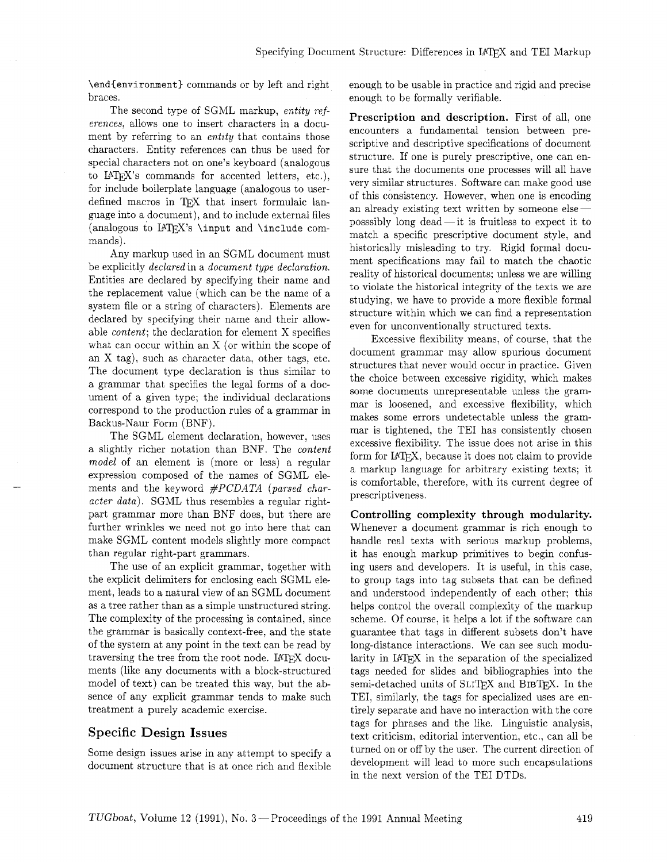**\end(environment)** commands or by left and right braces.

The second type of SGML markup, entity references, allows one to insert characters in a document by referring to an *entity* that contains those characters. Entity references can thus be used for special characters not on one's keyboard (analogous to  $IATFX$ 's commands for accented letters, etc.), for include boilerplate language (analogous to userdefined macros in TFX that insert formulaic language into a document), and to include external files (analogous to IATEX's **\input** and **\include** commands).

Any markup used in an SGML document must be explicitly declared in a document type declaration. Entities are declared by specifying their name and the replacement value (which can be the name of a system file or a string of characters). Elements are declared by specifying their name and their allowable content; the declaration for element X specifies what can occur within an X (or within the scope of an X tag), such as character data, other tags, etc. The document type declaration is thus similar to a grammar that specifies the legal forms of a document of a given type; the individual declarations correspond to the production rules of a grammar in Backus-Naur Form (BNF) .

The SGML element declaration, however, uses a slightly richer notation than BNF. The content model of an element is (more or less) a regular expression composed of the names of SGML elements and the keyword *#PCDATA* (parsed character data). SGML thus resembles a regular rightpart grammar more than BNF does, but there are further wrinkles we need not go into here that can make SGML content models slightly more compact than regular right-part grammars.

The use of an explicit grammar, together with the explicit delimiters for enclosing each SGML element, leads to a natural view of an SGML document as a tree rather than as a simple unstructured string. The complexity of the processing is contained, since the grammar is basically context-free, and the state of the system at any point in the text can be read by traversing the tree from the root node. IATFX documents (like any documents with a block-structured model of text) can be treated this way, but the absence of any explicit grammar tends to make such treatment a purely academic exercise.

## **Specific** Design Issues

Some design issues arise in any attempt to specify a document structure that is at once rich and flexible enough to be usable in practice and rigid and precise enough to be formally verifiable.

Prescription and description. First of all, one encounters a fundamental tension between prescriptive and descriptive specifications of document structure. If one is purely prescriptive, one can ensure that the documents one processes will all have very similar structures. Software can make good use of this consistency. However, when one is encoding an already existing text written by someone elseposssibly long  $dead$ —it is fruitless to expect it to match a specific prescriptive document style, and historically misleading to try. Rigid formal document specifications may fail to match the chaotic reality of historical documents; unless we are willing to violate the historical integrity of the texts we are studying, we have to provide a more flexible formal structure within which we can find a representation even for unconventionally structured texts.

Excessive flexibility means, of course. that the document grammar may allow spurious document structures that never would occur in practice. Given the choice between excessive rigidity, which makes some documents unrepresentable unless the grammar is loosened, and excessive flexibility. which makes some errors undetectable unless the grammar is tightened, the TEI has consistently chosen excessive flexibility. The issue does not arise in this form for IAT<sub>F</sub>X, because it does not claim to provide a markup language for arbitrary existing texts; it is comfortable, therefore, with its current degree of prescriptiveness.

Controlling complexity through modularity. Whenever a document grammar is rich enough to handle real texts with serious markup problems, it has enough markup primitives to begin confusing users and developers. It is useful, in this case, to group tags into tag subsets that can be defined and understood independently of each other; this helps control the overall complexity of the markup scheme. Of course, it helps a lot if the software can guarantee that tags in different subsets don't have long-distance interactions. We can see such modularity in  $IATFX$  in the separation of the specialized tags needed for slides and bibliographies into the semi-detached units of SLITFX and BIBTFX. In the TEI, similarly, the tags for specialized uses are entirely separate and have no interaction with the core tags for phrases and the like. Linguistic analysis, text criticism, editorial intervention, etc., can all be turned on or off by the user. The current direction of development will lead to more such encapsulations in the next version of the TEI DTDs.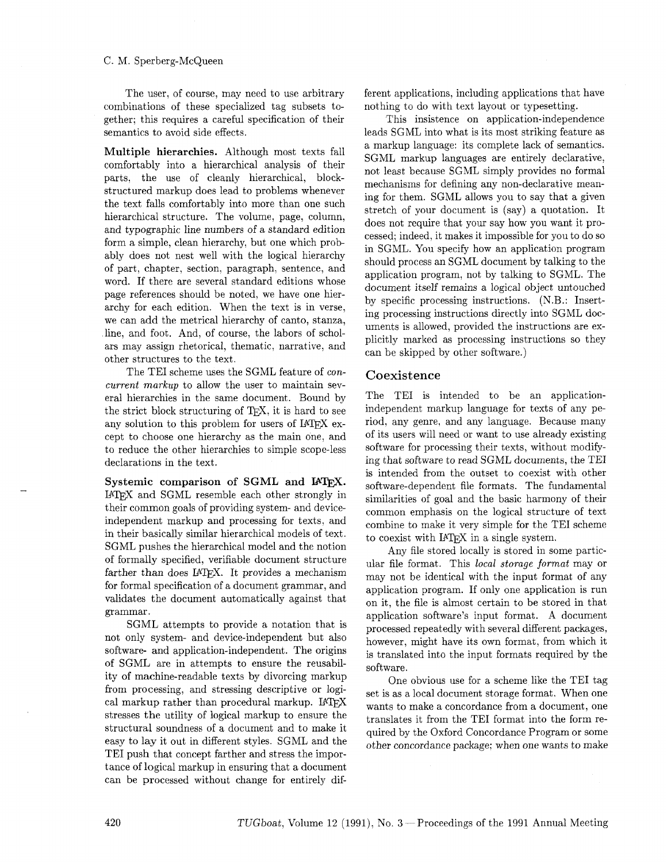#### C. M. Sperberg-McQueen

The user, of course, may need to use arbitrary combinations of these specialized tag subsets together; this requires a careful specification of their semantics to avoid side effects.

**Multiple hierarchies.** Although most texts fall comfortably into a hierarchical analysis of their parts, the use of cleanly hierarchical, blockstructured markup does lead to problems whenever the text falls comfortably into more than one such hierarchical structure. The volume, page, column, and typographic line numbers of a standard edition form a simple, clean hierarchy, but one which probably does not nest well with the logical hierarchy of part, chapter, section, paragraph, sentence, and word. If there are several standard editions whose page references should be noted, we have one hierarchy for each edition. When the text is in verse, we can add the metrical hierarchy of canto, stanza, line, and foot. And, of course, the labors of scholars may assign rhetorical, thematic, narrative, and other structures to the text.

The TEI scheme uses the SGML feature of *concurrent markup* to allow the user to maintain several hierarchies in the same document. Bound by the strict block structuring of TEX, it is hard to see any solution to this problem for users of IATFX except to choose one hierarchy as the main one, and to reduce the other hierarchies to simple scope-less declarations in the text.

Systemic comparison of SGML and I<sup>AT</sup>FX. IATFX and SGML resemble each other strongly in their common goals of providing system- and deviceindependent markup and processing for texts, and in their basically similar hierarchical models of text. SGML pushes the hierarchical model and the notion of formally specified, verifiable document structure farther than does IATFX. It provides a mechanism for formal specification of a document grammar, and validates the document automatically against that grammar.

SGML attempts to provide a notation that is not only system- and device-independent but also software- and application-independent. The origins of SGML are in attempts to ensure the reusability of machine-readable texts by divorcing markup from processing, and stressing descriptive or logical markup rather than procedural markup. IATFX stresses the utility of logical markup to ensure the structural soundness of a document and to make it easy to lay it out in different styles. SGML and the TEI push that concept farther and stress the importance of logical markup in ensuring that a document can be processed without change for entirely different applications, including applications that have nothing to do with text layout or typesetting.

This insistence on application-independence leads SGML into what is its most striking feature as a markup language: its complete lack of semantics. SGML markup languages are entirely declarative, not least because SGML simply provides no formal mechanisms for defining any non-declarative meaning for them. SGML allows you to say that a given stretch of your document is (say) a quotation. It does not require that your say how you want it processed; indeed, it makes it impossible for you to do so in SGML. You specify how an application program should process an SGML document by talking to the application program, not by talking to SGML. The document itself remains a logical object untouched by specific processing instructions. (N.B.: Inserting processing instructions directly into SGML documents is allowed, provided the instructions are explicitly marked as processing instructions so they can be skipped by other software.)

#### **Coexistence**

The TEI is intended to be an applicationindependent markup language for texts of any period, any genre, and any language. Because many of its users will need or want to use already existing software for processing their texts, without modifying that software to read SGML documents, the TEI is intended from the outset to coexist with other software-dependent file formats. The fundamental similarities of goal and the basic harmony of their common emphasis on the logical structure of text combine to make it very simple for the TEI scheme to coexist with IATFX in a single system.

Any file stored locally is stored in some particular file format. This *local storage format* may or may not be identical with the input format of any application program. If only one application is run on it, the file is almost certain to be stored in that application software's input format. A document processed repeatedly with several different packages, however, might have its own format, from which it is translated into the input formats required by the software.

One obvious use for a scheme like the TEI tag set is as a local document storage format. When one wants to make a concordance from a document, one translates it from the TEI format into the form required by the Oxford Concordance Program or some other concordance package: when one wants to make